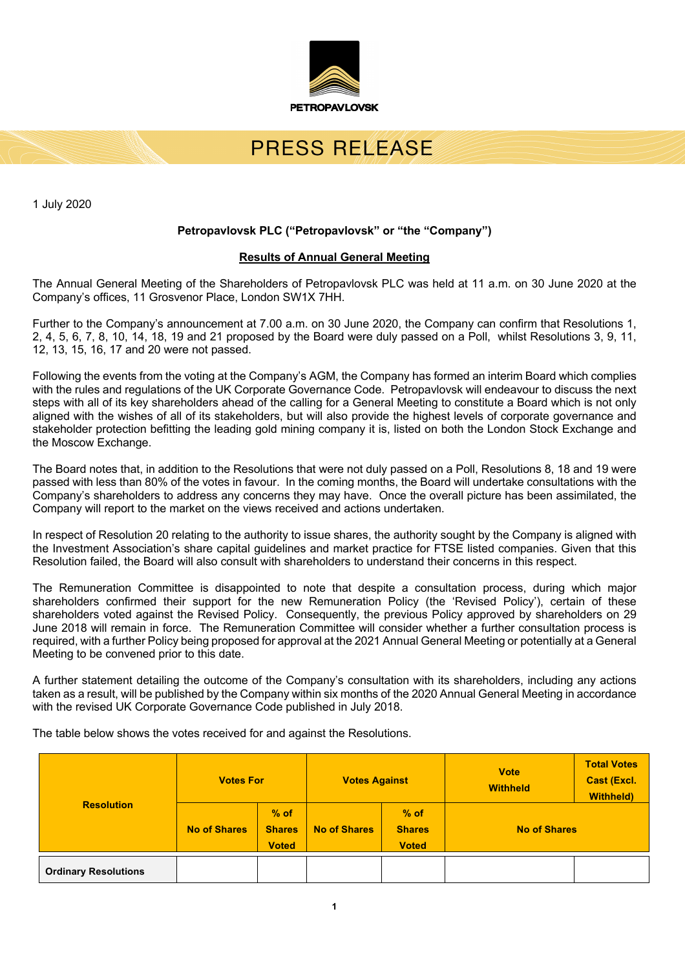

# PRESS REVEASE

1 July 2020

### **Petropavlovsk PLC ("Petropavlovsk" or "the "Company")**

#### **Results of Annual General Meeting**

The Annual General Meeting of the Shareholders of Petropavlovsk PLC was held at 11 a.m. on 30 June 2020 at the Company's offices, 11 Grosvenor Place, London SW1X 7HH.

Further to the Company's announcement at 7.00 a.m. on 30 June 2020, the Company can confirm that Resolutions 1, 2, 4, 5, 6, 7, 8, 10, 14, 18, 19 and 21 proposed by the Board were duly passed on a Poll, whilst Resolutions 3, 9, 11, 12, 13, 15, 16, 17 and 20 were not passed.

Following the events from the voting at the Company's AGM, the Company has formed an interim Board which complies with the rules and regulations of the UK Corporate Governance Code. Petropavlovsk will endeavour to discuss the next steps with all of its key shareholders ahead of the calling for a General Meeting to constitute a Board which is not only aligned with the wishes of all of its stakeholders, but will also provide the highest levels of corporate governance and stakeholder protection befitting the leading gold mining company it is, listed on both the London Stock Exchange and the Moscow Exchange.

The Board notes that, in addition to the Resolutions that were not duly passed on a Poll, Resolutions 8, 18 and 19 were passed with less than 80% of the votes in favour. In the coming months, the Board will undertake consultations with the Company's shareholders to address any concerns they may have. Once the overall picture has been assimilated, the Company will report to the market on the views received and actions undertaken.

In respect of Resolution 20 relating to the authority to issue shares, the authority sought by the Company is aligned with the Investment Association's share capital guidelines and market practice for FTSE listed companies. Given that this Resolution failed, the Board will also consult with shareholders to understand their concerns in this respect.

The Remuneration Committee is disappointed to note that despite a consultation process, during which major shareholders confirmed their support for the new Remuneration Policy (the 'Revised Policy'), certain of these shareholders voted against the Revised Policy. Consequently, the previous Policy approved by shareholders on 29 June 2018 will remain in force. The Remuneration Committee will consider whether a further consultation process is required, with a further Policy being proposed for approval at the 2021 Annual General Meeting or potentially at a General Meeting to be convened prior to this date.

A further statement detailing the outcome of the Company's consultation with its shareholders, including any actions taken as a result, will be published by the Company within six months of the 2020 Annual General Meeting in accordance with the revised UK Corporate Governance Code published in July 2018.

The table below shows the votes received for and against the Resolutions.

| <b>Resolution</b>           | <b>Votes For</b>    |                                         | <b>Votes Against</b> |                                         | <b>Vote</b><br><b>Withheld</b> | <b>Total Votes</b><br><b>Cast (Excl.</b><br><b>Withheld)</b> |
|-----------------------------|---------------------|-----------------------------------------|----------------------|-----------------------------------------|--------------------------------|--------------------------------------------------------------|
|                             | <b>No of Shares</b> | $%$ of<br><b>Shares</b><br><b>Voted</b> | <b>No of Shares</b>  | $%$ of<br><b>Shares</b><br><b>Voted</b> | <b>No of Shares</b>            |                                                              |
| <b>Ordinary Resolutions</b> |                     |                                         |                      |                                         |                                |                                                              |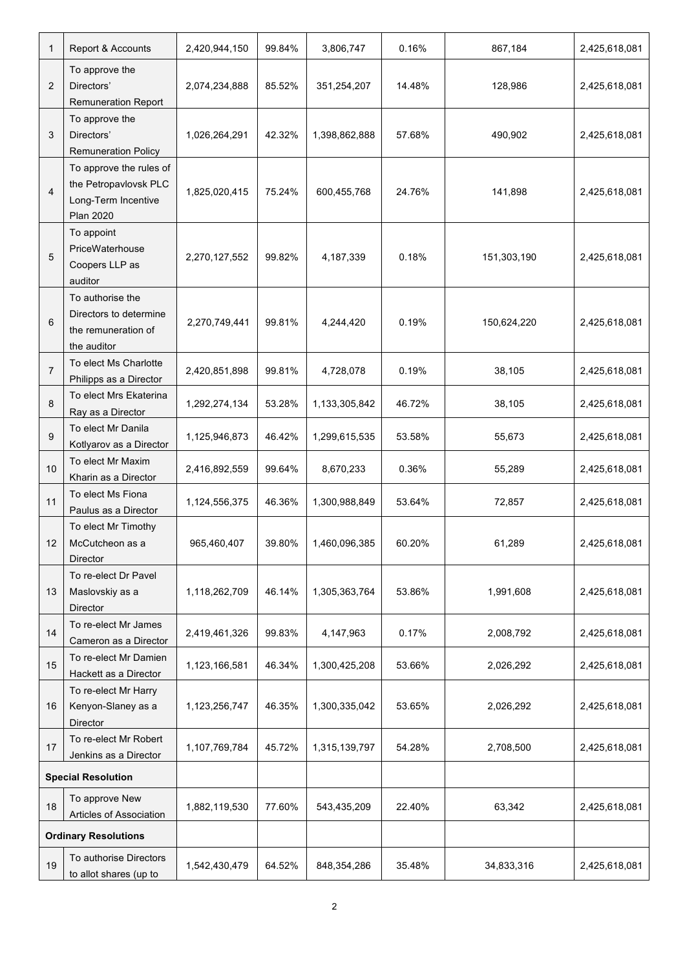| $\mathbf 1$                 | Report & Accounts                                                                           | 2,420,944,150 | 99.84% | 3,806,747     | 0.16%  | 867,184     | 2,425,618,081 |
|-----------------------------|---------------------------------------------------------------------------------------------|---------------|--------|---------------|--------|-------------|---------------|
| 2                           | To approve the<br>Directors'<br><b>Remuneration Report</b>                                  | 2,074,234,888 | 85.52% | 351,254,207   | 14.48% | 128,986     | 2,425,618,081 |
| 3                           | To approve the<br>Directors'<br><b>Remuneration Policy</b>                                  | 1,026,264,291 | 42.32% | 1,398,862,888 | 57.68% | 490,902     | 2,425,618,081 |
| $\overline{4}$              | To approve the rules of<br>the Petropavlovsk PLC<br>Long-Term Incentive<br><b>Plan 2020</b> | 1,825,020,415 | 75.24% | 600,455,768   | 24.76% | 141,898     | 2,425,618,081 |
| 5                           | To appoint<br>PriceWaterhouse<br>Coopers LLP as<br>auditor                                  | 2,270,127,552 | 99.82% | 4,187,339     | 0.18%  | 151,303,190 | 2,425,618,081 |
| 6                           | To authorise the<br>Directors to determine<br>the remuneration of<br>the auditor            | 2,270,749,441 | 99.81% | 4,244,420     | 0.19%  | 150,624,220 | 2,425,618,081 |
| $\overline{7}$              | To elect Ms Charlotte<br>Philipps as a Director                                             | 2,420,851,898 | 99.81% | 4,728,078     | 0.19%  | 38,105      | 2,425,618,081 |
| 8                           | To elect Mrs Ekaterina<br>Ray as a Director                                                 | 1,292,274,134 | 53.28% | 1,133,305,842 | 46.72% | 38,105      | 2,425,618,081 |
| 9                           | To elect Mr Danila<br>Kotlyarov as a Director                                               | 1,125,946,873 | 46.42% | 1,299,615,535 | 53.58% | 55,673      | 2,425,618,081 |
| 10                          | To elect Mr Maxim<br>Kharin as a Director                                                   | 2,416,892,559 | 99.64% | 8,670,233     | 0.36%  | 55,289      | 2,425,618,081 |
| 11                          | To elect Ms Fiona<br>Paulus as a Director                                                   | 1,124,556,375 | 46.36% | 1,300,988,849 | 53.64% | 72,857      | 2,425,618,081 |
| 12                          | To elect Mr Timothy<br>McCutcheon as a<br>Director                                          | 965,460,407   | 39.80% | 1,460,096,385 | 60.20% | 61,289      | 2,425,618,081 |
| 13                          | To re-elect Dr Pavel<br>Maslovskiy as a<br>Director                                         | 1,118,262,709 | 46.14% | 1,305,363,764 | 53.86% | 1,991,608   | 2,425,618,081 |
| 14                          | To re-elect Mr James<br>Cameron as a Director                                               | 2,419,461,326 | 99.83% | 4,147,963     | 0.17%  | 2,008,792   | 2,425,618,081 |
| 15                          | To re-elect Mr Damien<br>Hackett as a Director                                              | 1,123,166,581 | 46.34% | 1,300,425,208 | 53.66% | 2,026,292   | 2,425,618,081 |
| 16                          | To re-elect Mr Harry<br>Kenyon-Slaney as a<br>Director                                      | 1,123,256,747 | 46.35% | 1,300,335,042 | 53.65% | 2,026,292   | 2,425,618,081 |
| 17                          | To re-elect Mr Robert<br>Jenkins as a Director                                              | 1,107,769,784 | 45.72% | 1,315,139,797 | 54.28% | 2,708,500   | 2,425,618,081 |
| <b>Special Resolution</b>   |                                                                                             |               |        |               |        |             |               |
| 18                          | To approve New<br>Articles of Association                                                   | 1,882,119,530 | 77.60% | 543,435,209   | 22.40% | 63,342      | 2,425,618,081 |
| <b>Ordinary Resolutions</b> |                                                                                             |               |        |               |        |             |               |
| 19                          | To authorise Directors<br>to allot shares (up to                                            | 1,542,430,479 | 64.52% | 848,354,286   | 35.48% | 34,833,316  | 2,425,618,081 |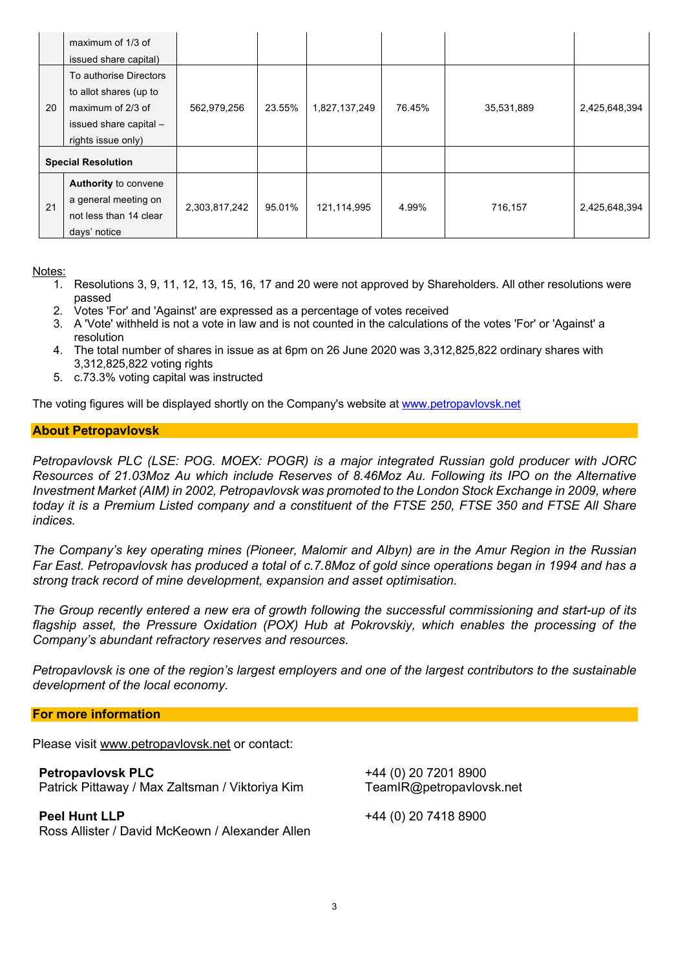|                           | maximum of 1/3 of<br>issued share capital)                                                                            |               |        |               |        |            |               |
|---------------------------|-----------------------------------------------------------------------------------------------------------------------|---------------|--------|---------------|--------|------------|---------------|
| 20                        | To authorise Directors<br>to allot shares (up to<br>maximum of 2/3 of<br>issued share capital -<br>rights issue only) | 562,979,256   | 23.55% | 1,827,137,249 | 76.45% | 35,531,889 | 2,425,648,394 |
| <b>Special Resolution</b> |                                                                                                                       |               |        |               |        |            |               |
| 21                        | Authority to convene<br>a general meeting on<br>not less than 14 clear<br>days' notice                                | 2,303,817,242 | 95.01% | 121,114,995   | 4.99%  | 716,157    | 2,425,648,394 |

Notes:

- 1. Resolutions 3, 9, 11, 12, 13, 15, 16, 17 and 20 were not approved by Shareholders. All other resolutions were passed
- 2. Votes 'For' and 'Against' are expressed as a percentage of votes received
- 3. A 'Vote' withheld is not a vote in law and is not counted in the calculations of the votes 'For' or 'Against' a resolution
- 4. The total number of shares in issue as at 6pm on 26 June 2020 was 3,312,825,822 ordinary shares with 3,312,825,822 voting rights
- 5. c.73.3% voting capital was instructed

The voting figures will be displayed shortly on the Company's website at www.petropavlovsk.net

### **About Petropavlovsk**

*Petropavlovsk PLC (LSE: POG. MOEX: POGR) is a major integrated Russian gold producer with JORC Resources of 21.03Moz Au which include Reserves of 8.46Moz Au. Following its IPO on the Alternative Investment Market (AIM) in 2002, Petropavlovsk was promoted to the London Stock Exchange in 2009, where* today it is a Premium Listed company and a constituent of the FTSE 250, FTSE 350 and FTSE All Share *indices.*

*The Company's key operating mines (Pioneer, Malomir and Albyn) are in the Amur Region in the Russian* Far East. Petropavlovsk has produced a total of c.7.8Moz of gold since operations began in 1994 and has a *strong track record of mine development, expansion and asset optimisation.*

*The Group recently entered a new era of growth following the successful commissioning and start-up of its flagship asset, the Pressure Oxidation (POX) Hub at Pokrovskiy, which enables the processing of the Company's abundant refractory reserves and resources.*

Petropavlovsk is one of the region's largest employers and one of the largest contributors to the sustainable *development of the local economy.*

#### **For more information**

Please visit www.petropavlovsk.net or contact:

**Petropavlovsk PLC** Patrick Pittaway / Max Zaltsman / Viktoriya Kim

**Peel Hunt LLP** Ross Allister / David McKeown / Alexander Allen +44 (0) 20 7201 8900 TeamIR@petropavlovsk.net

+44 (0) 20 7418 8900